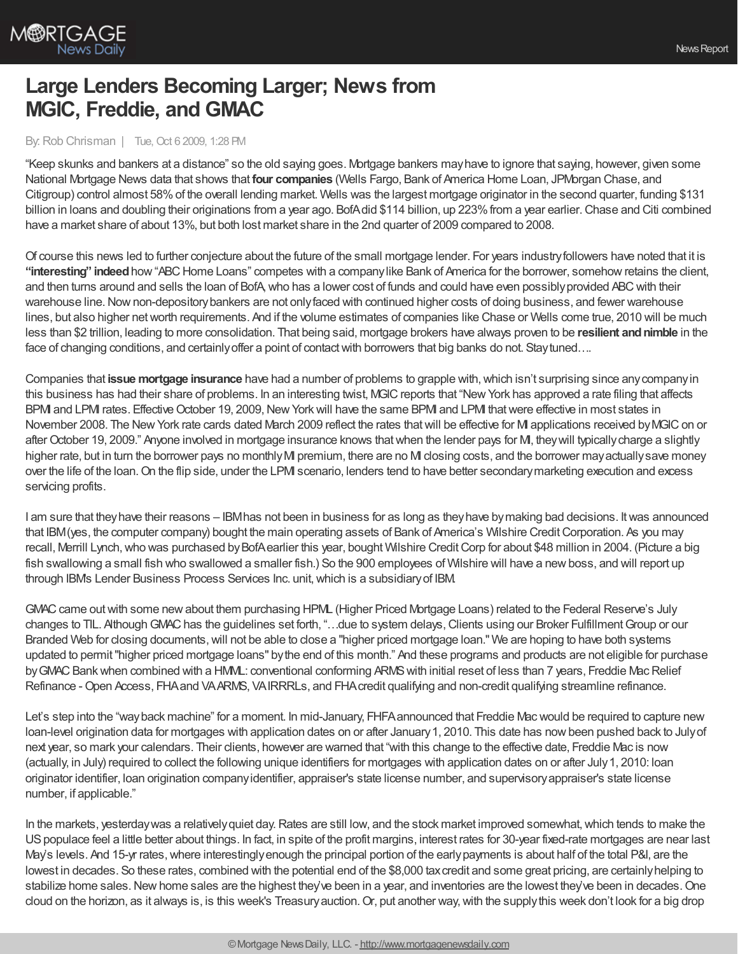

## **Large Lenders Becoming Larger; News from MGIC, Freddie, and GMAC**

## By:Rob Chrisman | Tue, Oct 6 2009, 1:28 PM

"Keep skunks and bankers at a distance" so the old saying goes. Mortgage bankers mayhave to ignore that saying, however, given some National Mortgage News data that shows that **four companies** (Wells Fargo, Bank of America Home Loan, JPMorgan Chase, and Citigroup) control almost 58%of the overall lending market. Wells was the largest mortgage originator in the second quarter, funding \$131 billion in loans and doubling their originations from a year ago. BofAdid \$114 billion, up 223% from a year earlier. Chase and Citi combined have a market share of about 13%, but both lost market share in the 2nd quarter of 2009 compared to 2008.

Of course this news led to further conjecture about the future of the small mortgage lender. For years industryfollowers have noted that it is "interesting" indeed how "ABC Home Loans" competes with a companylike Bank of America for the borrower, somehow retains the client, and then turns around and sells the loan of BofA,who has a lower cost of funds and could have even possiblyprovided ABCwith their warehouse line. Now non-depository bankers are not only faced with continued higher costs of doing business, and fewer warehouse lines, but also higher networth requirements. And if the volume estimates of companies like Chase or Wells come true, 2010 will be much less than \$2 trillion, leading to more consolidation. That being said, mortgage brokers have always proven to be resilient and nimble in the face of changing conditions, and certainlyoffer a point of contactwith borrowers that big banks do not. Staytuned….

Companies that **issue mortgage insurance** have had a number of problems to grapple with,which isn't surprising since anycompanyin this business has had their share of problems. In an interesting twist, MGICreports that "NewYork has approved a rate filing that affects BPMI and LPMI rates. Effective October 19, 2009, New York will have the same BPMI and LPMI that were effective in most states in November 2008. The New York rate cards dated March 2009 reflect the rates that will be effective for MI applications received by MGIC on or after October 19, 2009." Anyone involved in mortgage insurance knows that when the lender pays for M, they will typically charge a slightly higher rate, but in turn the borrower pays no monthly MI premium, there are no MI closing costs, and the borrower may actually save money over the life of the loan.On the flip side, under the LPMI scenario, lenders tend to have better secondarymarketing execution and excess servicing profits.

I am sure that theyhave their reasons – IBMhas not been in business for as long as theyhave bymaking bad decisions. Itwas announced that IBM(yes, the computer company) bought the main operating assets of Bank of America's Wilshire CreditCorporation. As you may recall, Merrill Lynch, who was purchased by BofAearlier this year, bought Wilshire Credit Corp for about \$48 million in 2004. (Picture a big fish swallowing a small fish who swallowed a smaller fish.) So the 900 employees of Wilshire will have a new boss, and will report up through IBM's Lender Business Process Services Inc. unit,which is a subsidiaryof IBM.

GMAC came out with some new about them purchasing HPML (Higher Priced Mortgage Loans) related to the Federal Reserve's July changes to TIL. Although GMAC has the guidelines set forth, "...due to system delays, Clients using our Broker Fulfillment Group or our Branded Web for closing documents, will not be able to close a "higher priced mortgage loan." We are hoping to have both systems updated to permit"higher priced mortgage loans" bythe end of this month." And these programs and products are not eligible for purchase by GMAC Bank when combined with a HMML: conventional conforming ARMS with initial reset of less than 7 years, Freddie Mac Relief Refinance - Open Access, FHA and VAARMS, VAIRRRLs, and FHA credit qualifying and non-credit qualifying streamline refinance.

Let's step into the "wayback machine" for a moment. In mid-January, FHFAannounced that Freddie Macwould be required to capture new loan-level origination data for mortgages with application dates on or after January1, 2010. This date has nowbeen pushed back to Julyof next year, so mark your calendars. Their clients, however are warned that "with this change to the effective date, Freddie Mac is now (actually, in July) required to collect the following unique identifiers for mortgages with application dates on or after July1, 2010: loan originator identifier, loan origination companyidentifier, appraiser's state license number, and supervisoryappraiser's state license number, if applicable."

In the markets, yesterday was a relatively quiet day. Rates are still low, and the stock market improved somewhat, which tends to make the USpopulace feel a little better about things. In fact, in spite of the profit margins, interest rates for 30-year fixed-rate mortgages are near last May's levels. And 15-yr rates, where interestingly enough the principal portion of the early payments is about half of the total P&I, are the lowest in decades. So these rates, combined with the potential end of the \$8,000 tax credit and some great pricing, are certainly helping to stabilize home sales. New home sales are the highest they've been in a year, and inventories are the lowest they've been in decades. One cloud on the horizon, as it always is, is this week's Treasury auction. Or, put another way, with the supply this week don't look for a big drop